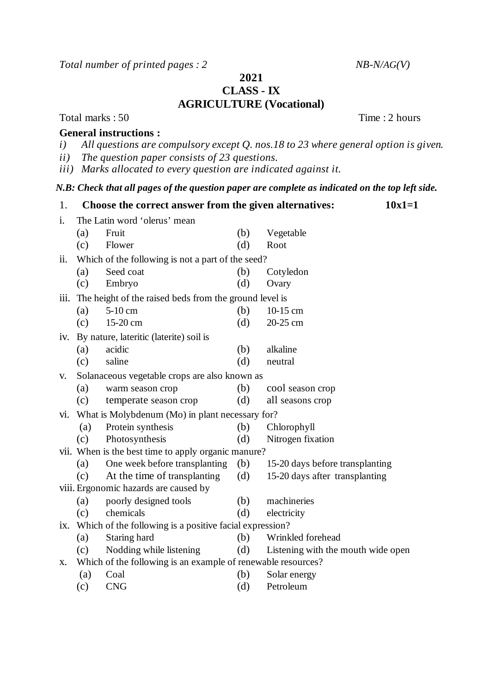*Total number of printed pages : 2 NB-N/AG(V)*

**2021**

**CLASS - IX**

## **AGRICULTURE (Vocational)**

Total marks : 50 Time : 2 hours

## **General instructions :**

- *i) All questions are compulsory except Q. nos.18 to 23 where general option is given.*
- *ii) The question paper consists of 23 questions.*
- *iii) Marks allocated to every question are indicated against it.*

## *N.B: Check that all pages of the question paper are complete as indicated on the top left side.*

| 1.                                    | Choose the correct answer from the given alternatives:       |                                                   |     |                                    |  |  |
|---------------------------------------|--------------------------------------------------------------|---------------------------------------------------|-----|------------------------------------|--|--|
| i.                                    | The Latin word 'olerus' mean                                 |                                                   |     |                                    |  |  |
|                                       | (a)                                                          | Fruit                                             | (b) | Vegetable                          |  |  |
|                                       | (c)                                                          | Flower                                            | (d) | Root                               |  |  |
| ii.                                   |                                                              | Which of the following is not a part of the seed? |     |                                    |  |  |
|                                       | (a)                                                          | Seed coat                                         | (b) | Cotyledon                          |  |  |
|                                       | (c)                                                          | Embryo                                            | (d) | Ovary                              |  |  |
| 111.                                  | The height of the raised beds from the ground level is       |                                                   |     |                                    |  |  |
|                                       | (a)                                                          | 5-10 cm                                           | (b) | 10-15 cm                           |  |  |
|                                       | (c)                                                          | 15-20 cm                                          | (d) | 20-25 cm                           |  |  |
| 1V.                                   | By nature, lateritic (laterite) soil is                      |                                                   |     |                                    |  |  |
|                                       | (a)                                                          | acidic                                            | (b) | alkaline                           |  |  |
|                                       | (c)                                                          | saline                                            | (d) | neutral                            |  |  |
| V.                                    | Solanaceous vegetable crops are also known as                |                                                   |     |                                    |  |  |
|                                       | (a)                                                          | warm season crop                                  | (b) | cool season crop                   |  |  |
|                                       | (c)                                                          | temperate season crop                             | (d) | all seasons crop                   |  |  |
| vi.                                   | What is Molybdenum (Mo) in plant necessary for?              |                                                   |     |                                    |  |  |
|                                       | (a)                                                          | Protein synthesis                                 | (b) | Chlorophyll                        |  |  |
|                                       | (c)                                                          | Photosynthesis                                    | (d) | Nitrogen fixation                  |  |  |
|                                       | vii. When is the best time to apply organic manure?          |                                                   |     |                                    |  |  |
|                                       | (a)                                                          | One week before transplanting                     | (b) | 15-20 days before transplanting    |  |  |
|                                       | (c)                                                          | At the time of transplanting                      | (d) | 15-20 days after transplanting     |  |  |
| viii. Ergonomic hazards are caused by |                                                              |                                                   |     |                                    |  |  |
|                                       | (a)                                                          | poorly designed tools                             | (b) | machineries                        |  |  |
|                                       | (c)                                                          | chemicals                                         | (d) | electricity                        |  |  |
| 1X.                                   | Which of the following is a positive facial expression?      |                                                   |     |                                    |  |  |
|                                       | (a)                                                          | Staring hard                                      | (b) | Wrinkled forehead                  |  |  |
|                                       | (c)                                                          | Nodding while listening                           | (d) | Listening with the mouth wide open |  |  |
| Х.                                    | Which of the following is an example of renewable resources? |                                                   |     |                                    |  |  |
|                                       | (a)                                                          | Coal                                              | (b) | Solar energy                       |  |  |
|                                       | (c)                                                          | <b>CNG</b>                                        | (d) | Petroleum                          |  |  |